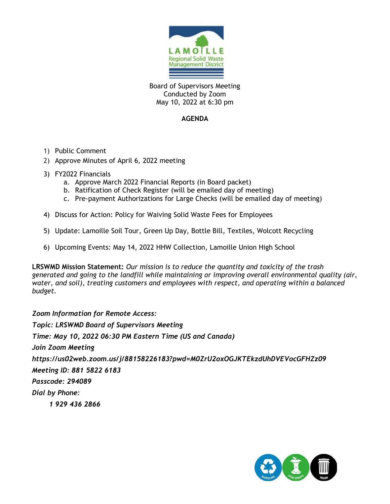

Board of Supervisors Meeting Conducted by Zoom May 10, 2022 at 6:30 pm

## **AGENDA**

- 1) Public Comment
- 2) Approve Minutes of April 6, 2022 meeting
- 3) FY2022 Financials
	- a. Approve March 2022 Financial Reports (in Board packet)
	- b. Ratification of Check Register (will be emailed day of meeting)
	- c. Pre-payment Authorizations for Large Checks (will be emailed day of meeting)
- 4) Discuss for Action: Policy for Waiving Solid Waste Fees for Employees
- 5) Update: Lamoille Soil Tour, Green Up Day, Bottle Bill, Textiles, Wolcott Recycling
- 6) Upcoming Events: May 14, 2022 HHW Collection, Lamoille Union High School

**LRSWMD Mission Statement:** *Our mission is to reduce the quantity and toxicity of the trash generated and going to the landfill while maintaining or improving overall environmental quality (air, water, and soil), treating customers and employees with respect, and operating within a balanced budget.*

*Zoom Information for Remote Access: Topic: LRSWMD Board of Supervisors Meeting Time: May 10, 2022 06:30 PM Eastern Time (US and Canada) Join Zoom Meeting https://us02web.zoom.us/j/88158226183?pwd=M0ZrU2oxOGJKTEkzdUhDVEVocGFHZz09 Meeting ID: 881 5822 6183 Passcode: 294089 Dial by Phone: 1 929 436 2866* 

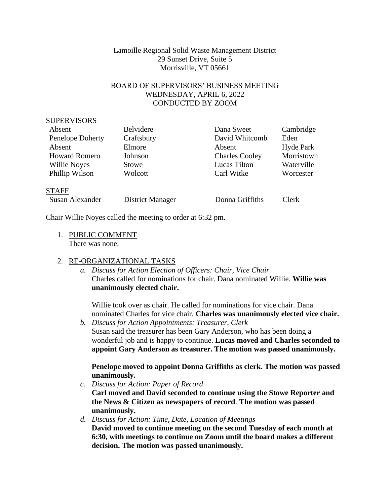## Lamoille Regional Solid Waste Management District 29 Sunset Drive, Suite 5 Morrisville, VT 05661

## BOARD OF SUPERVISORS' BUSINESS MEETING WEDNESDAY, APRIL 6, 2022 CONDUCTED BY ZOOM

#### SUPERVISORS

| Absent               | Belvidere  | Dana Sweet            | Cambridge  |
|----------------------|------------|-----------------------|------------|
| Penelope Doherty     | Craftsbury | David Whitcomb        | Eden       |
| Absent               | Elmore     | Absent                | Hyde Park  |
| <b>Howard Romero</b> | Johnson    | <b>Charles Cooley</b> | Morristown |
| <b>Willie Noyes</b>  | Stowe      | Lucas Tilton          | Waterville |
| Phillip Wilson       | Wolcott    | Carl Witke            | Worcester  |
|                      |            |                       |            |

#### **STAFF**

| Susan Alexander | District Manager | Donna Griffiths | Clerk |
|-----------------|------------------|-----------------|-------|
|-----------------|------------------|-----------------|-------|

Chair Willie Noyes called the meeting to order at 6:32 pm.

1. PUBLIC COMMENT There was none.

# 2. RE-ORGANIZATIONAL TASKS

*a. Discuss for Action Election of Officers: Chair, Vice Chair* Charles called for nominations for chair. Dana nominated Willie. **Willie was unanimously elected chair.**

Willie took over as chair. He called for nominations for vice chair. Dana nominated Charles for vice chair. **Charles was unanimously elected vice chair.**

*b. Discuss for Action Appointments: Treasurer, Clerk* Susan said the treasurer has been Gary Anderson, who has been doing a wonderful job and is happy to continue. **Lucas moved and Charles seconded to appoint Gary Anderson as treasurer. The motion was passed unanimously.**

# **Penelope moved to appoint Donna Griffiths as clerk. The motion was passed unanimously.**

- *c. Discuss for Action: Paper of Record* **Carl moved and David seconded to continue using the Stowe Reporter and the News & Citizen as newspapers of record**. **The motion was passed unanimously.**
- *d. Discuss for Action: Time, Date, Location of Meetings* **David moved to continue meeting on the second Tuesday of each month at 6:30, with meetings to continue on Zoom until the board makes a different decision. The motion was passed unanimously.**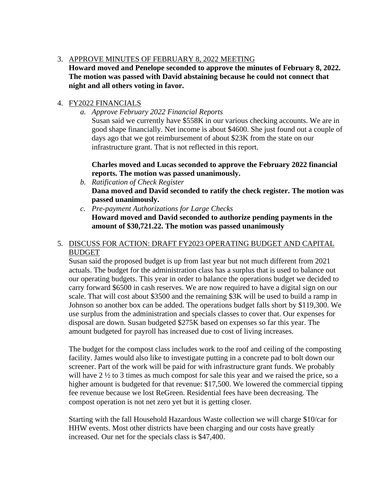# 3. APPROVE MINUTES OF FEBRUARY 8, 2022 MEETING

**Howard moved and Penelope seconded to approve the minutes of February 8, 2022. The motion was passed with David abstaining because he could not connect that night and all others voting in favor.** 

# 4. FY2022 FINANCIALS

*a. Approve February 2022 Financial Reports*

Susan said we currently have \$558K in our various checking accounts. We are in good shape financially. Net income is about \$4600. She just found out a couple of days ago that we got reimbursement of about \$23K from the state on our infrastructure grant. That is not reflected in this report.

# **Charles moved and Lucas seconded to approve the February 2022 financial reports. The motion was passed unanimously.**

- *b. Ratification of Check Register* **Dana moved and David seconded to ratify the check register. The motion was passed unanimously.**
- *c. Pre-payment Authorizations for Large Checks* **Howard moved and David seconded to authorize pending payments in the amount of \$30,721.22. The motion was passed unanimously**

# 5. DISCUSS FOR ACTION: DRAFT FY2023 OPERATING BUDGET AND CAPITAL BUDGET

Susan said the proposed budget is up from last year but not much different from 2021 actuals. The budget for the administration class has a surplus that is used to balance out our operating budgets. This year in order to balance the operations budget we decided to carry forward \$6500 in cash reserves. We are now required to have a digital sign on our scale. That will cost about \$3500 and the remaining \$3K will be used to build a ramp in Johnson so another box can be added. The operations budget falls short by \$119,300. We use surplus from the administration and specials classes to cover that. Our expenses for disposal are down. Susan budgeted \$275K based on expenses so far this year. The amount budgeted for payroll has increased due to cost of living increases.

The budget for the compost class includes work to the roof and ceiling of the composting facility. James would also like to investigate putting in a concrete pad to bolt down our screener. Part of the work will be paid for with infrastructure grant funds. We probably will have  $2 \frac{1}{2}$  to 3 times as much compost for sale this year and we raised the price, so a higher amount is budgeted for that revenue: \$17,500. We lowered the commercial tipping fee revenue because we lost ReGreen. Residential fees have been decreasing. The compost operation is not net zero yet but it is getting closer.

Starting with the fall Household Hazardous Waste collection we will charge \$10/car for HHW events. Most other districts have been charging and our costs have greatly increased. Our net for the specials class is \$47,400.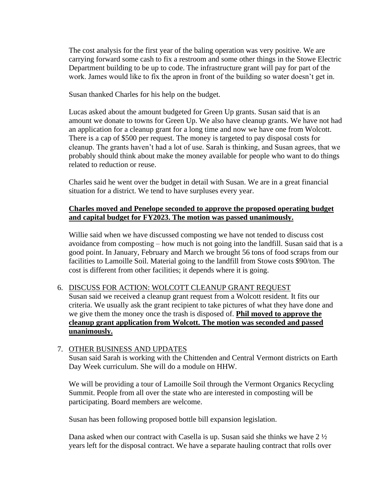The cost analysis for the first year of the baling operation was very positive. We are carrying forward some cash to fix a restroom and some other things in the Stowe Electric Department building to be up to code. The infrastructure grant will pay for part of the work. James would like to fix the apron in front of the building so water doesn't get in.

Susan thanked Charles for his help on the budget.

Lucas asked about the amount budgeted for Green Up grants. Susan said that is an amount we donate to towns for Green Up. We also have cleanup grants. We have not had an application for a cleanup grant for a long time and now we have one from Wolcott. There is a cap of \$500 per request. The money is targeted to pay disposal costs for cleanup. The grants haven't had a lot of use. Sarah is thinking, and Susan agrees, that we probably should think about make the money available for people who want to do things related to reduction or reuse.

Charles said he went over the budget in detail with Susan. We are in a great financial situation for a district. We tend to have surpluses every year.

## **Charles moved and Penelope seconded to approve the proposed operating budget and capital budget for FY2023. The motion was passed unanimously.**

Willie said when we have discussed composting we have not tended to discuss cost avoidance from composting – how much is not going into the landfill. Susan said that is a good point. In January, February and March we brought 56 tons of food scraps from our facilities to Lamoille Soil. Material going to the landfill from Stowe costs \$90/ton. The cost is different from other facilities; it depends where it is going.

#### 6. DISCUSS FOR ACTION: WOLCOTT CLEANUP GRANT REQUEST

Susan said we received a cleanup grant request from a Wolcott resident. It fits our criteria. We usually ask the grant recipient to take pictures of what they have done and we give them the money once the trash is disposed of. **Phil moved to approve the cleanup grant application from Wolcott. The motion was seconded and passed unanimously.**

#### 7. OTHER BUSINESS AND UPDATES

Susan said Sarah is working with the Chittenden and Central Vermont districts on Earth Day Week curriculum. She will do a module on HHW.

We will be providing a tour of Lamoille Soil through the Vermont Organics Recycling Summit. People from all over the state who are interested in composting will be participating. Board members are welcome.

Susan has been following proposed bottle bill expansion legislation.

Dana asked when our contract with Casella is up. Susan said she thinks we have 2 ½ years left for the disposal contract. We have a separate hauling contract that rolls over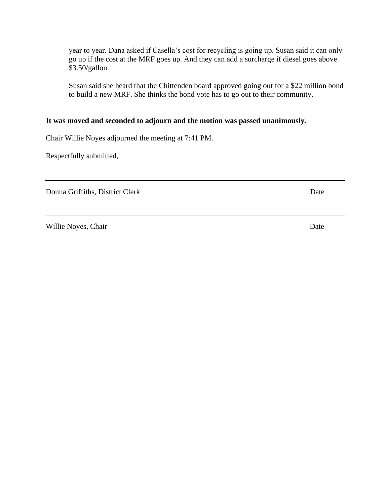year to year. Dana asked if Casella's cost for recycling is going up. Susan said it can only go up if the cost at the MRF goes up. And they can add a surcharge if diesel goes above \$3.50/gallon.

Susan said she heard that the Chittenden board approved going out for a \$22 million bond to build a new MRF. She thinks the bond vote has to go out to their community.

## **It was moved and seconded to adjourn and the motion was passed unanimously.**

Chair Willie Noyes adjourned the meeting at 7:41 PM.

Respectfully submitted,

Donna Griffiths, District Clerk Date

Willie Noyes, Chair Date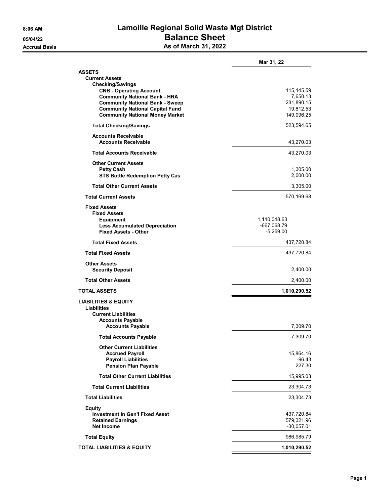# **8:06 AM Lamoille Regional Solid Waste Mgt District 05/04/22 Balance Sheet Accrual Basis As of March 31, 2022**

|                                                                                  | Mar 31, 22                  |
|----------------------------------------------------------------------------------|-----------------------------|
| <b>ASSETS</b><br><b>Current Assets</b><br><b>Checking/Savings</b>                |                             |
| <b>CNB - Operating Account</b>                                                   | 115, 145.59                 |
| <b>Community National Bank - HRA</b>                                             | 7,650.13                    |
| <b>Community National Bank - Sweep</b><br><b>Community National Capital Fund</b> | 231,890.15<br>19,812.53     |
| <b>Community National Money Market</b>                                           | 149,096.25                  |
| <b>Total Checking/Savings</b>                                                    | 523,594.65                  |
| <b>Accounts Receivable</b><br><b>Accounts Receivable</b>                         | 43,270.03                   |
|                                                                                  |                             |
| <b>Total Accounts Receivable</b>                                                 | 43,270.03                   |
| <b>Other Current Assets</b><br><b>Petty Cash</b>                                 | 1,305.00                    |
| <b>STS Bottle Redemption Petty Cas</b>                                           | 2,000.00                    |
| <b>Total Other Current Assets</b>                                                | 3,305.00                    |
| <b>Total Current Assets</b>                                                      | 570,169.68                  |
| <b>Fixed Assets</b>                                                              |                             |
| <b>Fixed Assets</b>                                                              |                             |
| <b>Equipment</b><br><b>Less Accumulated Depreciation</b>                         | 1,110,048.63<br>-667,068.79 |
| <b>Fixed Assets - Other</b>                                                      | $-5,259.00$                 |
| <b>Total Fixed Assets</b>                                                        | 437,720.84                  |
| <b>Total Fixed Assets</b>                                                        | 437,720.84                  |
| <b>Other Assets</b><br><b>Security Deposit</b>                                   | 2,400.00                    |
| <b>Total Other Assets</b>                                                        | 2,400.00                    |
| <b>TOTAL ASSETS</b>                                                              | 1,010,290.52                |
| <b>LIABILITIES &amp; EQUITY</b><br>Liabilities<br><b>Current Liabilities</b>     |                             |
| <b>Accounts Payable</b><br><b>Accounts Payable</b>                               | 7,309.70                    |
| <b>Total Accounts Payable</b>                                                    | 7,309.70                    |
| <b>Other Current Liabilities</b>                                                 |                             |
| <b>Accrued Payroll</b>                                                           | 15,864.16                   |
| <b>Payroll Liabilities</b><br>Pension Plan Payable                               | $-96.43$<br>227.30          |
| <b>Total Other Current Liabilities</b>                                           | 15,995.03                   |
| <b>Total Current Liabilities</b>                                                 | 23,304.73                   |
| <b>Total Liabilities</b>                                                         | 23,304.73                   |
|                                                                                  |                             |
| <b>Equity</b><br><b>Investment in Gen'l Fixed Asset</b>                          | 437,720.84                  |
| <b>Retained Earnings</b>                                                         | 579,321.96                  |
| <b>Net Income</b>                                                                | -30,057.01                  |
| <b>Total Equity</b>                                                              | 986,985.79                  |
| <b>TOTAL LIABILITIES &amp; EQUITY</b>                                            | 1,010,290.52                |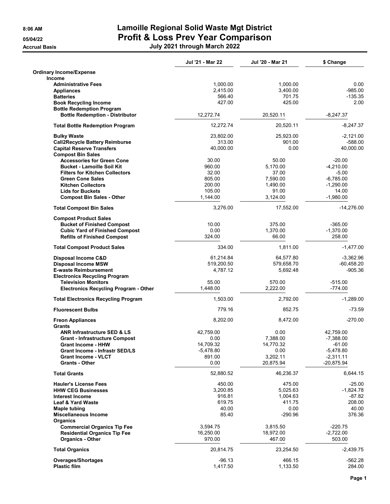# **8:06 AM Lamoille Regional Solid Waste Mgt District 05/04/22 Profit & Loss Prev Year Comparison Accrual Basis July 2021 through March 2022**

|                                              | Jul '21 - Mar 22 | Jul '20 - Mar 21 | \$ Change    |
|----------------------------------------------|------------------|------------------|--------------|
| <b>Ordinary Income/Expense</b>               |                  |                  |              |
| <b>Income</b>                                |                  |                  |              |
| <b>Administrative Fees</b>                   | 1,000.00         | 1,000.00         | 0.00         |
| <b>Appliances</b>                            | 2,415.00         | 3,400.00         | $-985.00$    |
| <b>Batteries</b>                             | 566.40           | 701.75           | $-135.35$    |
| <b>Book Recycling Income</b>                 | 427.00           | 425.00           | 2.00         |
| <b>Bottle Redemption Program</b>             |                  |                  |              |
| <b>Bottle Redemption - Distributor</b>       | 12,272.74        | 20,520.11        | $-8,247.37$  |
| <b>Total Bottle Redemption Program</b>       | 12,272.74        | 20,520.11        | -8,247.37    |
| <b>Bulky Waste</b>                           | 23,802.00        | 25,923.00        | $-2,121.00$  |
| <b>Call2Recycle Battery Reimburse</b>        | 313.00           | 901.00           | $-588.00$    |
| <b>Capital Reserve Transfers</b>             | 40,000.00        | 0.00             | 40,000.00    |
| <b>Compost Bin Sales</b>                     |                  |                  |              |
| <b>Accessories for Green Cone</b>            | 30.00            | 50.00            | $-20.00$     |
| <b>Bucket - Lamoille Soil Kit</b>            | 960.00           | 5,170.00         | $-4,210.00$  |
| <b>Filters for Kitchen Collectors</b>        | 32.00            | 37.00            | $-5.00$      |
| <b>Green Cone Sales</b>                      | 805.00           | 7,590.00         | $-6,785.00$  |
| <b>Kitchen Collectors</b>                    | 200.00           | 1,490.00         | $-1,290.00$  |
| <b>Lids for Buckets</b>                      | 105.00           | 91.00            | 14.00        |
| <b>Compost Bin Sales - Other</b>             | 1,144.00         | 3,124.00         | $-1,980.00$  |
| <b>Total Compost Bin Sales</b>               | 3,276.00         | 17,552.00        | $-14,276.00$ |
| <b>Compost Product Sales</b>                 |                  |                  |              |
| <b>Bucket of Finished Compost</b>            | 10.00            | 375.00           | $-365.00$    |
| <b>Cubic Yard of Finished Compost</b>        | 0.00             | 1,370.00         | $-1,370.00$  |
| <b>Refills of Finished Compost</b>           | 324.00           | 66.00            | 258.00       |
| <b>Total Compost Product Sales</b>           | 334.00           | 1,811.00         | $-1,477.00$  |
|                                              |                  |                  |              |
| Disposal Income C&D                          | 61,214.84        | 64,577.80        | $-3,362.96$  |
| <b>Disposal Income MSW</b>                   | 519,200.50       | 579,658.70       | $-60,458.20$ |
| <b>E-waste Reimbursement</b>                 | 4,787.12         | 5,692.48         | $-905.36$    |
| <b>Electronics Recycling Program</b>         |                  |                  |              |
| <b>Television Monitors</b>                   | 55.00            | 570.00           | $-515.00$    |
| <b>Electronics Recycling Program - Other</b> | 1,448.00         | 2,222.00         | $-774.00$    |
| <b>Total Electronics Recycling Program</b>   | 1,503.00         | 2,792.00         | $-1,289.00$  |
| <b>Fluorescent Bulbs</b>                     | 779.16           | 852.75           | $-73.59$     |
| <b>Freon Appliances</b>                      | 8,202.00         | 8,472.00         | $-270.00$    |
| Grants                                       |                  |                  |              |
| <b>ANR Infrastructure SED &amp; LS</b>       | 42,759.00        | 0.00             | 42,759.00    |
| <b>Grant - Infrastructure Compost</b>        | 0.00             | 7,388.00         | $-7,388.00$  |
| <b>Grant Income - HHW</b>                    | 14,709.32        | 14,770.32        | $-61.00$     |
| Grant Income - Infrastr SED/LS               | $-5,478.80$      | 0.00             | $-5,478.80$  |
| <b>Grant Income - VLCT</b>                   | 891.00           | 3,202.11         | $-2,311.11$  |
| <b>Grants - Other</b>                        | 0.00             | 20,875.94        | -20,875.94   |
| <b>Total Grants</b>                          | 52,880.52        | 46,236.37        | 6,644.15     |
| <b>Hauler's License Fees</b>                 | 450.00           | 475.00           | -25.00       |
| <b>HHW CEG Businesses</b>                    | 3,200.85         | 5,025.63         | $-1,824.78$  |
| <b>Interest Income</b>                       | 916.81           | 1,004.63         | -87.82       |
| <b>Leaf &amp; Yard Waste</b>                 | 619.75           | 411.75           | 208.00       |
| <b>Maple tubing</b>                          | 40.00            | 0.00             | 40.00        |
| <b>Miscellaneous Income</b>                  | 85.40            | $-290.96$        | 376.36       |
| Organics                                     |                  |                  |              |
| <b>Commercial Organics Tip Fee</b>           | 3,594.75         | 3,815.50         | -220.75      |
| <b>Residential Organics Tip Fee</b>          | 16,250.00        | 18,972.00        | $-2,722.00$  |
| <b>Organics - Other</b>                      | 970.00           | 467.00           | 503.00       |
| <b>Total Organics</b>                        | 20,814.75        | 23,254.50        | $-2,439.75$  |
|                                              |                  |                  |              |
| <b>Overages/Shortages</b>                    | -96.13           | 466.15           | $-562.28$    |
| <b>Plastic film</b>                          | 1,417.50         | 1,133.50         | 284.00       |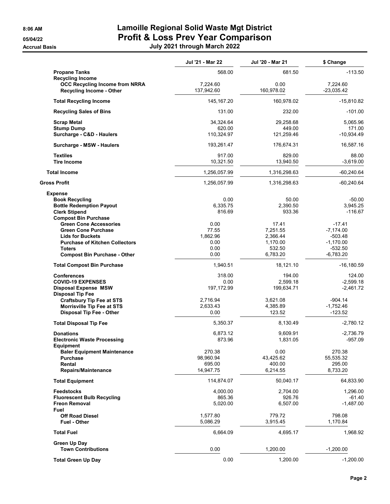**Accrual Basis** 

# **8:06 AM Lamoille Regional Solid Waste Mgt District 05/04/22 Profit & Loss Prev Year Comparison**

| July 2021 through March 2022 |  |  |  |
|------------------------------|--|--|--|
|------------------------------|--|--|--|

|                                                                                                     | Jul '21 - Mar 22       | Jul '20 - Mar 21   | \$ Change                |
|-----------------------------------------------------------------------------------------------------|------------------------|--------------------|--------------------------|
| <b>Propane Tanks</b>                                                                                | 568.00                 | 681.50             | $-113.50$                |
| <b>Recycling Income</b><br><b>OCC Recycling Income from NRRA</b><br><b>Recycling Income - Other</b> | 7,224.60<br>137,942.60 | 0.00<br>160,978.02 | 7,224.60<br>$-23,035.42$ |
| <b>Total Recycling Income</b>                                                                       | 145, 167.20            | 160,978.02         | $-15,810.82$             |
| <b>Recycling Sales of Bins</b>                                                                      | 131.00                 | 232.00             | $-101.00$                |
| <b>Scrap Metal</b>                                                                                  | 34,324.64              | 29,258.68          | 5,065.96                 |
| <b>Stump Dump</b>                                                                                   | 620.00                 | 449.00             | 171.00                   |
| Surcharge - C&D - Haulers                                                                           | 110,324.97             | 121,259.46         | $-10,934.49$             |
| Surcharge - MSW - Haulers                                                                           | 193,261.47             | 176,674.31         | 16,587.16                |
| <b>Textiles</b>                                                                                     | 917.00                 | 829.00             | 88.00                    |
| <b>Tire Income</b>                                                                                  | 10,321.50              | 13,940.50          | $-3,619.00$              |
| <b>Total Income</b>                                                                                 | 1,256,057.99           | 1,316,298.63       | $-60,240.64$             |
| <b>Gross Profit</b>                                                                                 | 1,256,057.99           | 1,316,298.63       | $-60,240.64$             |
| <b>Expense</b>                                                                                      |                        |                    |                          |
| <b>Book Recycling</b>                                                                               | 0.00<br>6,335.75       | 50.00              | $-50.00$<br>3,945.25     |
| <b>Bottle Redemption Payout</b><br><b>Clerk Stipend</b>                                             | 816.69                 | 2,390.50<br>933.36 | $-116.67$                |
| <b>Compost Bin Purchase</b>                                                                         |                        |                    |                          |
| <b>Green Cone Accessories</b>                                                                       | 0.00                   | 17.41              | $-17.41$                 |
| <b>Green Cone Purchase</b>                                                                          | 77.55                  | 7,251.55           | $-7,174.00$              |
| <b>Lids for Buckets</b>                                                                             | 1,862.96               | 2,366.44           | -503.48                  |
| <b>Purchase of Kitchen Collectors</b>                                                               | 0.00                   | 1,170.00           | $-1,170.00$              |
| <b>Toters</b><br><b>Compost Bin Purchase - Other</b>                                                | 0.00<br>0.00           | 532.50<br>6,783.20 | $-532.50$<br>$-6,783.20$ |
| <b>Total Compost Bin Purchase</b>                                                                   | 1,940.51               | 18,121.10          | $-16,180.59$             |
|                                                                                                     |                        |                    |                          |
| <b>Conferences</b><br><b>COVID-19 EXPENSES</b>                                                      | 318.00<br>0.00         | 194.00<br>2,599.18 | 124.00<br>$-2,599.18$    |
| <b>Disposal Expense MSW</b>                                                                         | 197, 172.99            | 199,634.71         | $-2,461.72$              |
| <b>Disposal Tip Fee</b>                                                                             |                        |                    |                          |
| <b>Craftsbury Tip Fee at STS</b>                                                                    | 2,716.94               | 3,621.08           | $-904.14$                |
| Morrisville Tip Fee at STS                                                                          | 2,633.43               | 4,385.89           | $-1,752.46$              |
| Disposal Tip Fee - Other                                                                            | 0.00                   | 123.52             | -123.52                  |
| <b>Total Disposal Tip Fee</b>                                                                       | 5,350.37               | 8,130.49           | $-2,780.12$              |
| <b>Donations</b>                                                                                    | 6,873.12               | 9.609.91           | $-2,736.79$              |
| <b>Electronic Waste Processing</b><br>Equipment                                                     | 873.96                 | 1,831.05           | $-957.09$                |
| <b>Baler Equipment Maintenance</b>                                                                  | 270.38                 | 0.00               | 270.38                   |
| <b>Purchase</b>                                                                                     | 98.960.94              | 43,425.62          | 55,535.32                |
| Rental                                                                                              | 695.00                 | 400.00             | 295.00                   |
| Repairs/Maintenance                                                                                 | 14,947.75              | 6,214.55           | 8,733.20                 |
| <b>Total Equipment</b>                                                                              | 114,874.07             | 50,040.17          | 64,833.90                |
| <b>Feedstocks</b>                                                                                   | 4,000.00               | 2,704.00           | 1,296.00                 |
| <b>Fluorescent Bulb Recycling</b>                                                                   | 865.36                 | 926.76             | $-61.40$                 |
| <b>Freon Removal</b>                                                                                | 5,020.00               | 6,507.00           | $-1,487.00$              |
| Fuel                                                                                                |                        |                    |                          |
| <b>Off Road Diesel</b><br><b>Fuel - Other</b>                                                       | 1.577.80<br>5,086.29   | 779.72<br>3,915.45 | 798.08<br>1,170.84       |
| <b>Total Fuel</b>                                                                                   | 6,664.09               | 4,695.17           | 1,968.92                 |
|                                                                                                     |                        |                    |                          |
| Green Up Day<br><b>Town Contributions</b>                                                           | 0.00                   | 1,200.00           | $-1,200.00$              |
| <b>Total Green Up Day</b>                                                                           | 0.00                   | 1,200.00           | $-1,200.00$              |
|                                                                                                     |                        |                    |                          |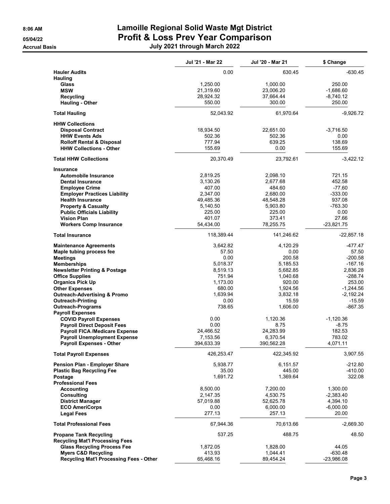# **8:06 AM Lamoille Regional Solid Waste Mgt District 05/04/22 Profit & Loss Prev Year Comparison Accrual Basis July 2021 through March 2022**

|                                                                              | Jul '21 - Mar 22      | Jul '20 - Mar 21      | \$ Change         |
|------------------------------------------------------------------------------|-----------------------|-----------------------|-------------------|
| <b>Hauler Audits</b>                                                         | 0.00                  | 630.45                | $-630.45$         |
| <b>Hauling</b><br>Glass                                                      | 1,250.00              | 1,000.00              | 250.00            |
| <b>MSW</b>                                                                   | 21,319.60             | 23,006.20             | $-1,686.60$       |
| Recycling                                                                    | 28,924.32             | 37,664.44             | $-8,740.12$       |
| Hauling - Other                                                              | 550.00                | 300.00                | 250.00            |
| <b>Total Hauling</b>                                                         | 52,043.92             | 61,970.64             | $-9,926.72$       |
| <b>HHW Collections</b>                                                       |                       |                       |                   |
| <b>Disposal Contract</b>                                                     | 18,934.50             | 22,651.00             | $-3,716.50$       |
| <b>HHW Events Ads</b>                                                        | 502.36                | 502.36                | 0.00              |
| <b>Rolloff Rental &amp; Disposal</b>                                         | 777.94                | 639.25                | 138.69            |
| <b>HHW Collections - Other</b>                                               | 155.69                | 0.00                  | 155.69            |
| <b>Total HHW Collections</b>                                                 | 20,370.49             | 23,792.61             | $-3,422.12$       |
| <b>Insurance</b>                                                             |                       |                       |                   |
| Automobile Insurance                                                         | 2,819.25              | 2,098.10              | 721.15            |
| <b>Dental Insurance</b>                                                      | 3,130.26              | 2,677.68              | 452.58            |
| <b>Employee Crime</b>                                                        | 407.00                | 484.60                | $-77.60$          |
| <b>Employer Practices Liability</b>                                          | 2,347.00              | 2,680.00              | $-333.00$         |
| <b>Health Insurance</b>                                                      | 49,485.36             | 48,548.28             | 937.08            |
| <b>Property &amp; Casualty</b>                                               | 5,140.50<br>225.00    | 5,903.80<br>225.00    | $-763.30$<br>0.00 |
| <b>Public Officials Liability</b><br><b>Vision Plan</b>                      | 401.07                | 373.41                | 27.66             |
| <b>Workers Comp Insurance</b>                                                | 54,434.00             | 78,255.75             | $-23,821.75$      |
| <b>Total Insurance</b>                                                       | 118,389.44            | 141,246.62            | $-22,857.18$      |
| <b>Maintenance Agreements</b>                                                | 3,642.82              | 4,120.29              | -477.47           |
| Maple tubing process fee                                                     | 57.50                 | 0.00                  | 57.50             |
| <b>Meetings</b>                                                              | 0.00                  | 200.58                | $-200.58$         |
| <b>Memberships</b>                                                           | 5,018.37              | 5,185.53              | $-167.16$         |
| <b>Newsletter Printing &amp; Postage</b>                                     | 8,519.13              | 5,682.85              | 2,836.28          |
| <b>Office Supplies</b>                                                       | 751.94                | 1,040.68              | $-288.74$         |
| <b>Organics Pick Up</b>                                                      | 1,173.00              | 920.00                | 253.00            |
| <b>Other Expenses</b>                                                        | 680.00                | 1,924.56              | $-1,244.56$       |
| <b>Outreach-Advertising &amp; Promo</b>                                      | 1,639.94              | 3,832.18              | $-2,192.24$       |
| <b>Outreach-Printing</b>                                                     | 0.00                  | 15.59                 | $-15.59$          |
| <b>Outreach-Programs</b>                                                     | 738.65                | 1,606.00              | $-867.35$         |
| <b>Payroll Expenses</b>                                                      |                       |                       |                   |
| <b>COVID Payroll Expenses</b>                                                | 0.00                  | 1,120.36              | $-1,120.36$       |
| <b>Payroll Direct Deposit Fees</b>                                           | 0.00                  | 8.75                  | $-8.75$           |
| <b>Payroll FICA /Medicare Expense</b><br><b>Payroll Unemployment Expense</b> | 24,466.52<br>7,153.56 | 24,283.99<br>6,370.54 | 182.53<br>783.02  |
| <b>Payroll Expenses - Other</b>                                              | 394,633.39            | 390,562.28            | 4,071.11          |
| <b>Total Payroll Expenses</b>                                                | 426,253.47            | 422,345.92            | 3,907.55          |
| <b>Pension Plan - Employer Share</b>                                         | 5,938.77              | 6,151.57              | $-212.80$         |
| <b>Plastic Bag Recycling Fee</b>                                             | 35.00                 | 445.00                | -410.00           |
| Postage                                                                      | 1,691.72              | 1,369.64              | 322.08            |
| <b>Professional Fees</b>                                                     |                       |                       |                   |
| <b>Accounting</b>                                                            | 8,500.00              | 7,200.00              | 1,300.00          |
| <b>Consulting</b>                                                            | 2,147.35              | 4,530.75              | $-2,383.40$       |
| <b>District Manager</b>                                                      | 57,019.88             | 52,625.78             | 4,394.10          |
| <b>ECO AmeriCorps</b>                                                        | 0.00                  | 6,000.00              | $-6,000.00$       |
| <b>Legal Fees</b>                                                            | 277.13                | 257.13                | 20.00             |
| <b>Total Professional Fees</b>                                               | 67,944.36             | 70,613.66             | $-2,669.30$       |
| <b>Propane Tank Recycling</b><br><b>Recycling Mat'l Processing Fees</b>      | 537.25                | 488.75                | 48.50             |
| <b>Glass Recycling Process Fee</b>                                           | 1,872.05              | 1,828.00              | 44.05             |
| <b>Myers C&amp;D Recycling</b>                                               | 413.93                | 1,044.41              | $-630.48$         |
| Recycling Mat'l Processing Fees - Other                                      | 65,468.16             | 89,454.24             | $-23,986.08$      |
|                                                                              |                       |                       |                   |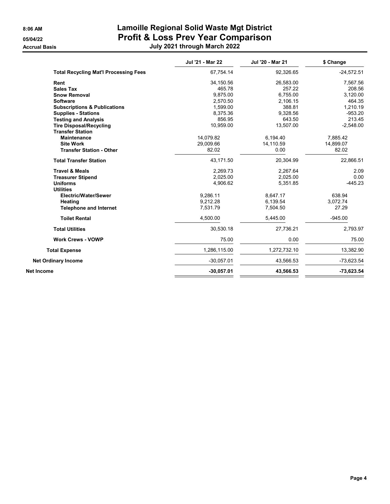**Accrual Basis** 

# **8:06 AM Lamoille Regional Solid Waste Mgt District 05/04/22 Profit & Loss Prev Year Comparison**

| July 2021 through March 2022 |  |  |  |
|------------------------------|--|--|--|
|------------------------------|--|--|--|

|                                              | Jul '21 - Mar 22 | Jul '20 - Mar 21 | \$ Change    |
|----------------------------------------------|------------------|------------------|--------------|
| <b>Total Recycling Mat'l Processing Fees</b> | 67,754.14        | 92,326.65        | $-24,572.51$ |
| Rent                                         | 34,150.56        | 26,583.00        | 7,567.56     |
| <b>Sales Tax</b>                             | 465.78           | 257.22           | 208.56       |
| <b>Snow Removal</b>                          | 9,875.00         | 6,755.00         | 3,120.00     |
| <b>Software</b>                              | 2,570.50         | 2,106.15         | 464.35       |
| <b>Subscriptions &amp; Publications</b>      | 1,599.00         | 388.81           | 1,210.19     |
| <b>Supplies - Stations</b>                   | 8,375.36         | 9.328.56         | $-953.20$    |
| <b>Testing and Analysis</b>                  | 856.95           | 643.50           | 213.45       |
| <b>Tire Disposal/Recycling</b>               | 10,959.00        | 13,507.00        | $-2,548.00$  |
| <b>Transfer Station</b>                      |                  |                  |              |
| <b>Maintenance</b>                           | 14,079.82        | 6,194.40         | 7,885.42     |
| <b>Site Work</b>                             | 29,009.66        | 14,110.59        | 14,899.07    |
| <b>Transfer Station - Other</b>              | 82.02            | 0.00             | 82.02        |
| <b>Total Transfer Station</b>                | 43,171.50        | 20,304.99        | 22,866.51    |
| <b>Travel &amp; Meals</b>                    | 2,269.73         | 2,267.64         | 2.09         |
| <b>Treasurer Stipend</b>                     | 2,025.00         | 2,025.00         | 0.00         |
| <b>Uniforms</b>                              | 4,906.62         | 5,351.85         | $-445.23$    |
| <b>Utilities</b>                             |                  |                  |              |
| <b>Electric/Water/Sewer</b>                  | 9.286.11         | 8.647.17         | 638.94       |
| Heating                                      | 9,212.28         | 6,139.54         | 3,072.74     |
| <b>Telephone and Internet</b>                | 7,531.79         | 7,504.50         | 27.29        |
| <b>Toilet Rental</b>                         | 4,500.00         | 5.445.00         | $-945.00$    |
| <b>Total Utilities</b>                       | 30,530.18        | 27,736.21        | 2,793.97     |
| <b>Work Crews - VOWP</b>                     | 75.00            | 0.00             | 75.00        |
| <b>Total Expense</b>                         | 1,286,115.00     | 1,272,732.10     | 13,382.90    |
| <b>Net Ordinary Income</b>                   | $-30,057.01$     | 43,566.53        | -73,623.54   |
| Net Income                                   | $-30,057.01$     | 43,566.53        | $-73,623.54$ |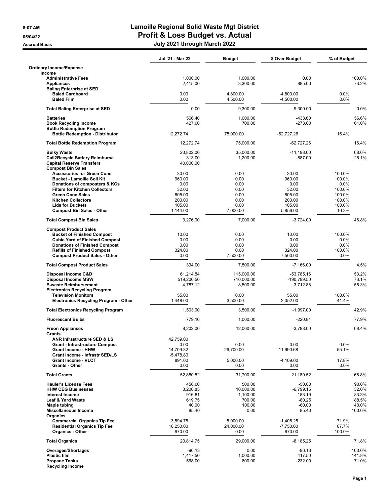|                                                                            | Jul '21 - Mar 22     | <b>Budget</b>        | \$ Over Budget        | % of Budget      |
|----------------------------------------------------------------------------|----------------------|----------------------|-----------------------|------------------|
| <b>Ordinary Income/Expense</b><br>Income                                   |                      |                      |                       |                  |
| <b>Administrative Fees</b><br><b>Appliances</b>                            | 1,000.00<br>2,415.00 | 1,000.00<br>3,300.00 | 0.00<br>$-885.00$     | 100.0%<br>73.2%  |
| <b>Baling Enterprise at SED</b><br><b>Baled Cardboard</b>                  | 0.00                 | 4,800.00             | $-4.800.00$           | 0.0%             |
| <b>Baled Film</b>                                                          | 0.00                 | 4,500.00             | $-4,500.00$           | 0.0%             |
| <b>Total Baling Enterprise at SED</b>                                      | 0.00                 | 9,300.00             | $-9,300.00$           | 0.0%             |
| <b>Batteries</b>                                                           | 566.40               | 1,000.00             | -433.60               | 56.6%            |
| <b>Book Recycling Income</b><br><b>Bottle Redemption Program</b>           | 427.00               | 700.00               | $-273.00$             | 61.0%            |
| <b>Bottle Redemption - Distributor</b>                                     | 12,272.74            | 75,000.00            | $-62.727.26$          | 16.4%            |
| <b>Total Bottle Redemption Program</b>                                     | 12.272.74            | 75,000.00            | $-62,727.26$          | 16.4%            |
| <b>Bulky Waste</b>                                                         | 23,802.00            | 35,000.00            | $-11,198.00$          | 68.0%            |
| <b>Call2Recycle Battery Reimburse</b>                                      | 313.00               | 1,200.00             | $-887.00$             | 26.1%            |
| <b>Capital Reserve Transfers</b><br><b>Compost Bin Sales</b>               | 40,000.00            |                      |                       |                  |
| <b>Accessories for Green Cone</b>                                          | 30.00                | 0.00                 | 30.00                 | 100.0%           |
| <b>Bucket - Lamoille Soil Kit</b>                                          | 960.00               | 0.00                 | 960.00                | 100.0%           |
| Donations of composters & KCs                                              | 0.00                 | 0.00                 | 0.00                  | 0.0%             |
| <b>Filters for Kitchen Collectors</b>                                      | 32.00                | 0.00                 | 32.00                 | 100.0%           |
| <b>Green Cone Sales</b>                                                    | 805.00               | 0.00                 | 805.00                | 100.0%           |
| <b>Kitchen Collectors</b><br><b>Lids for Buckets</b>                       | 200.00<br>105.00     | 0.00<br>0.00         | 200.00<br>105.00      | 100.0%<br>100.0% |
| <b>Compost Bin Sales - Other</b>                                           | 1,144.00             | 7,000.00             | $-5,856.00$           | 16.3%            |
| <b>Total Compost Bin Sales</b>                                             | 3,276.00             | 7,000.00             | $-3,724.00$           | 46.8%            |
| <b>Compost Product Sales</b>                                               |                      |                      |                       |                  |
| <b>Bucket of Finished Compost</b>                                          | 10.00                | 0.00                 | 10.00                 | 100.0%           |
| <b>Cubic Yard of Finished Compost</b>                                      | 0.00<br>0.00         | 0.00<br>0.00         | 0.00<br>0.00          | 0.0%<br>0.0%     |
| <b>Donations of Finished Compost</b><br><b>Refills of Finished Compost</b> | 324.00               | 0.00                 | 324.00                | 100.0%           |
| <b>Compost Product Sales - Other</b>                                       | 0.00                 | 7,500.00             | $-7,500.00$           | 0.0%             |
| <b>Total Compost Product Sales</b>                                         | 334.00               | 7,500.00             | $-7,166.00$           | 4.5%             |
| Disposal Income C&D                                                        | 61,214.84            | 115,000.00           | $-53,785.16$          | 53.2%            |
| <b>Disposal Income MSW</b>                                                 | 519,200.50           | 710,000.00           | -190,799.50           | 73.1%            |
| <b>E-waste Reimbursement</b><br><b>Electronics Recycling Program</b>       | 4,787.12             | 8,500.00             | $-3,712.88$           | 56.3%            |
| <b>Television Monitors</b>                                                 | 55.00                | 0.00                 | 55.00                 | 100.0%           |
| Electronics Recycling Program - Other                                      | 1,448.00             | 3,500.00             | $-2,052.00$           | 41.4%            |
| <b>Total Electronics Recycling Program</b>                                 | 1.503.00             | 3.500.00             | $-1,997.00$           | 42.9%            |
| <b>Fluorescent Bulbs</b>                                                   | 779.16               | 1,000.00             | $-220.84$             | 77.9%            |
| <b>Freon Appliances</b><br>Grants                                          | 8,202.00             | 12,000.00            | $-3,798.00$           | 68.4%            |
| ANR Infrastructure SED & LS                                                | 42,759.00            |                      |                       |                  |
| <b>Grant - Infrastructure Compost</b>                                      | 0.00                 | 0.00                 | 0.00                  | 0.0%             |
| <b>Grant Income - HHW</b>                                                  | 14,709.32            | 26,700.00            | $-11,990.68$          | 55.1%            |
| Grant Income - Infrastr SED/LS                                             | $-5,478.80$          |                      |                       |                  |
| <b>Grant Income - VLCT</b><br><b>Grants - Other</b>                        | 891.00<br>0.00       | 5,000.00<br>0.00     | $-4,109.00$<br>0.00   | 17.8%<br>0.0%    |
| <b>Total Grants</b>                                                        | 52,880.52            | 31,700.00            | 21,180.52             | 166.8%           |
| <b>Hauler's License Fees</b>                                               | 450.00               | 500.00               | $-50.00$              | 90.0%            |
| <b>HHW CEG Businesses</b>                                                  | 3,200.85             | 10,000.00            | $-6.799.15$           | 32.0%            |
| <b>Interest Income</b>                                                     | 916.81               | 1,100.00             | $-183.19$             | 83.3%            |
| Leaf & Yard Waste                                                          | 619.75               | 700.00               | $-80.25$              | 88.5%            |
| <b>Maple tubing</b>                                                        | 40.00<br>85.40       | 100.00<br>0.00       | $-60.00$<br>85.40     | 40.0%<br>100.0%  |
| Miscellaneous Income<br>Organics                                           |                      |                      |                       |                  |
| <b>Commercial Organics Tip Fee</b>                                         | 3,594.75             | 5,000.00             | $-1,405.25$           | 71.9%            |
| <b>Residential Organics Tip Fee</b><br><b>Organics - Other</b>             | 16,250.00<br>970.00  | 24,000.00<br>0.00    | $-7,750.00$<br>970.00 | 67.7%<br>100.0%  |
| <b>Total Organics</b>                                                      | 20,814.75            | 29,000.00            | $-8,185.25$           | 71.8%            |
| Overages/Shortages                                                         | $-96.13$             | 0.00                 | $-96.13$              | 100.0%           |
| <b>Plastic film</b>                                                        | 1,417.50             | 1,000.00             | 417.50                | 141.8%           |
| <b>Propane Tanks</b>                                                       | 568.00               | 800.00               | $-232.00$             | 71.0%            |
| <b>Recycling Income</b>                                                    |                      |                      |                       |                  |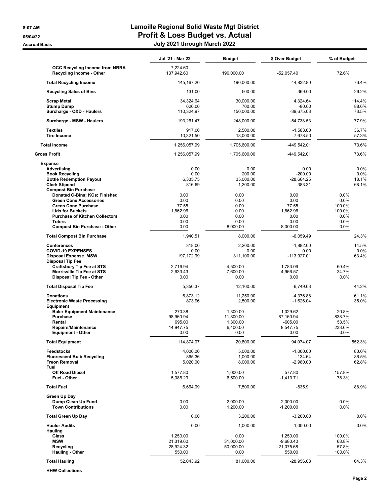|                                                                                                                                                                                                                          | Jul '21 - Mar 22                                                         | <b>Budget</b>                                                                  | \$ Over Budget                                                                          | % of Budget                                                  |
|--------------------------------------------------------------------------------------------------------------------------------------------------------------------------------------------------------------------------|--------------------------------------------------------------------------|--------------------------------------------------------------------------------|-----------------------------------------------------------------------------------------|--------------------------------------------------------------|
| OCC Recycling Income from NRRA<br>Recycling Income - Other                                                                                                                                                               | 7,224.60<br>137,942.60                                                   | 190,000.00                                                                     | -52,057.40                                                                              | 72.6%                                                        |
| <b>Total Recycling Income</b>                                                                                                                                                                                            | 145, 167.20                                                              | 190,000.00                                                                     | -44,832.80                                                                              | 76.4%                                                        |
| <b>Recycling Sales of Bins</b>                                                                                                                                                                                           | 131.00                                                                   | 500.00                                                                         | $-369.00$                                                                               | 26.2%                                                        |
| <b>Scrap Metal</b>                                                                                                                                                                                                       | 34,324.64                                                                | 30,000.00                                                                      | 4,324.64                                                                                | 114.4%                                                       |
| <b>Stump Dump</b><br>Surcharge - C&D - Haulers                                                                                                                                                                           | 620.00<br>110,324.97                                                     | 700.00<br>150,000.00                                                           | $-80.00$<br>$-39,675.03$                                                                | 88.6%<br>73.5%                                               |
| Surcharge - MSW - Haulers                                                                                                                                                                                                | 193,261.47                                                               | 248,000.00                                                                     | $-54,738.53$                                                                            | 77.9%                                                        |
| <b>Textiles</b><br><b>Tire Income</b>                                                                                                                                                                                    | 917.00<br>10,321.50                                                      | 2,500.00<br>18,000.00                                                          | $-1,583.00$<br>$-7,678.50$                                                              | 36.7%<br>57.3%                                               |
| <b>Total Income</b>                                                                                                                                                                                                      | 1,256,057.99                                                             | 1,705,600.00                                                                   | -449,542.01                                                                             | 73.6%                                                        |
| Gross Profit                                                                                                                                                                                                             | 1,256,057.99                                                             | 1,705,600.00                                                                   | -449,542.01                                                                             | 73.6%                                                        |
| <b>Expense</b><br>Advertising<br><b>Book Recycling</b><br><b>Bottle Redemption Payout</b><br><b>Clerk Stipend</b><br><b>Compost Bin Purchase</b>                                                                         | 0.00<br>0.00<br>6,335.75<br>816.69                                       | 0.00<br>200.00<br>35.000.00<br>1,200.00                                        | 0.00<br>$-200.00$<br>$-28,664.25$<br>-383.31                                            | 0.0%<br>0.0%<br>18.1%<br>68.1%                               |
| Donated C-Bins; KCs; Finished<br><b>Green Cone Accessories</b><br><b>Green Cone Purchase</b><br><b>Lids for Buckets</b><br><b>Purchase of Kitchen Collectors</b><br><b>Toters</b><br><b>Compost Bin Purchase - Other</b> | 0.00<br>0.00<br>77.55<br>1,862.96<br>0.00<br>0.00<br>0.00                | 0.00<br>0.00<br>0.00<br>0.00<br>0.00<br>0.00<br>8,000.00                       | 0.00<br>0.00<br>77.55<br>1.862.96<br>0.00<br>0.00<br>$-8,000.00$                        | 0.0%<br>0.0%<br>100.0%<br>100.0%<br>$0.0\%$<br>0.0%<br>0.0%  |
| <b>Total Compost Bin Purchase</b>                                                                                                                                                                                        | 1,940.51                                                                 | 8,000.00                                                                       | $-6,059.49$                                                                             | 24.3%                                                        |
| <b>Conferences</b><br><b>COVID-19 EXPENSES</b><br><b>Disposal Expense MSW</b><br><b>Disposal Tip Fee</b>                                                                                                                 | 318.00<br>0.00<br>197, 172.99                                            | 2,200.00<br>0.00<br>311,100.00                                                 | $-1,882.00$<br>0.00<br>$-113,927.01$                                                    | 14.5%<br>0.0%<br>63.4%                                       |
| <b>Craftsbury Tip Fee at STS</b><br><b>Morrisville Tip Fee at STS</b><br>Disposal Tip Fee - Other                                                                                                                        | 2,716.94<br>2,633.43<br>0.00                                             | 4,500.00<br>7,600.00<br>0.00                                                   | $-1,783.06$<br>$-4,966.57$<br>0.00                                                      | 60.4%<br>34.7%<br>0.0%                                       |
| <b>Total Disposal Tip Fee</b>                                                                                                                                                                                            | 5,350.37                                                                 | 12,100.00                                                                      | $-6,749.63$                                                                             | 44.2%                                                        |
| <b>Donations</b><br><b>Electronic Waste Processing</b><br>Equipment<br><b>Baler Equipment Maintenance</b><br><b>Purchase</b><br>Rental<br><b>Repairs/Maintenance</b><br><b>Equipment - Other</b>                         | 6,873.12<br>873.96<br>270.38<br>98,960.94<br>695.00<br>14,947.75<br>0.00 | 11,250.00<br>2,500.00<br>1,300.00<br>11,800.00<br>1,300.00<br>6,400.00<br>0.00 | $-4,376.88$<br>$-1.626.04$<br>$-1,029.62$<br>87,160.94<br>$-605.00$<br>8,547.75<br>0.00 | 61.1%<br>35.0%<br>20.8%<br>838.7%<br>53.5%<br>233.6%<br>0.0% |
| <b>Total Equipment</b>                                                                                                                                                                                                   | 114,874.07                                                               | 20,800.00                                                                      | 94,074.07                                                                               | 552.3%                                                       |
| <b>Feedstocks</b><br><b>Fluorescent Bulb Recycling</b><br><b>Freon Removal</b><br>Fuel                                                                                                                                   | 4,000.00<br>865.36<br>5,020.00                                           | 5,000.00<br>1,000.00<br>8,000.00                                               | $-1,000.00$<br>$-134.64$<br>$-2,980.00$                                                 | 80.0%<br>86.5%<br>62.8%                                      |
| <b>Off Road Diesel</b><br>Fuel - Other                                                                                                                                                                                   | 1,577.80<br>5,086.29                                                     | 1,000.00<br>6,500.00                                                           | 577.80<br>$-1,413.71$                                                                   | 157.8%<br>78.3%                                              |
| <b>Total Fuel</b>                                                                                                                                                                                                        | 6,664.09                                                                 | 7,500.00                                                                       | $-835.91$                                                                               | 88.9%                                                        |
| Green Up Day<br>Dump Clean Up Fund<br><b>Town Contributions</b>                                                                                                                                                          | 0.00<br>0.00                                                             | 2,000.00<br>1,200.00                                                           | $-2,000.00$<br>$-1,200.00$                                                              | 0.0%<br>0.0%                                                 |
| <b>Total Green Up Day</b>                                                                                                                                                                                                | 0.00                                                                     | 3,200.00                                                                       | $-3,200.00$                                                                             | 0.0%                                                         |
| <b>Hauler Audits</b><br><b>Hauling</b><br>Glass<br><b>MSW</b><br>Recycling                                                                                                                                               | 0.00<br>1,250.00<br>21,319.60<br>28,924.32                               | 1,000.00<br>0.00<br>31,000.00<br>50,000.00                                     | $-1,000.00$<br>1,250.00<br>$-9,680.40$<br>$-21,075.68$                                  | 0.0%<br>100.0%<br>68.8%<br>57.8%                             |
| <b>Hauling - Other</b>                                                                                                                                                                                                   | 550.00                                                                   | 0.00                                                                           | 550.00                                                                                  | 100.0%                                                       |
| <b>Total Hauling</b>                                                                                                                                                                                                     | 52,043.92                                                                | 81,000.00                                                                      | $-28,956.08$                                                                            | 64.3%                                                        |

**HHW Collections**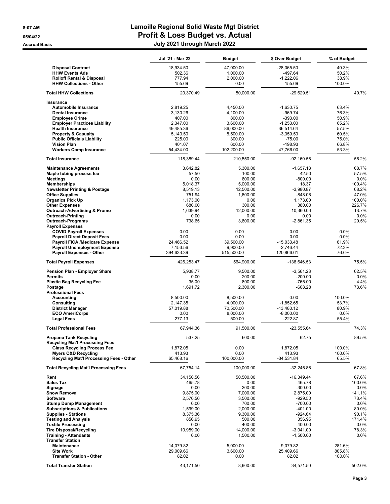|                                                                         | Jul '21 - Mar 22      | <b>Budget</b>         | \$ Over Budget              | % of Budget     |
|-------------------------------------------------------------------------|-----------------------|-----------------------|-----------------------------|-----------------|
| <b>Disposal Contract</b>                                                | 18,934.50             | 47,000.00             | -28,065.50                  | 40.3%           |
| <b>HHW Events Ads</b>                                                   | 502.36                | 1,000.00              | -497.64                     | 50.2%           |
| <b>Rolloff Rental &amp; Disposal</b>                                    | 777.94                | 2,000.00              | $-1,222.06$                 | 38.9%           |
| <b>HHW Collections - Other</b>                                          | 155.69                | 0.00                  | 155.69                      | 100.0%          |
| <b>Total HHW Collections</b>                                            | 20,370.49             | 50,000.00             | $-29,629.51$                | 40.7%           |
| Insurance                                                               |                       |                       |                             |                 |
| Automobile Insurance                                                    | 2,819.25              | 4,450.00              | $-1,630.75$                 | 63.4%           |
| <b>Dental Insurance</b>                                                 | 3,130.26              | 4,100.00              | $-969.74$                   | 76.3%           |
| <b>Employee Crime</b>                                                   | 407.00                | 800.00                | $-393.00$                   | 50.9%           |
| <b>Employer Practices Liability</b>                                     | 2,347.00              | 3,600.00              | $-1,253.00$                 | 65.2%           |
| <b>Health Insurance</b><br><b>Property &amp; Casualty</b>               | 49,485.36<br>5,140.50 | 86,000.00<br>8,500.00 | $-36.514.64$<br>$-3,359.50$ | 57.5%<br>60.5%  |
| <b>Public Officials Liability</b>                                       | 225.00                | 300.00                | $-75.00$                    | 75.0%           |
| <b>Vision Plan</b>                                                      | 401.07                | 600.00                | $-198.93$                   | 66.8%           |
| <b>Workers Comp Insurance</b>                                           | 54,434.00             | 102,200.00            | -47,766.00                  | 53.3%           |
| <b>Total Insurance</b>                                                  | 118,389.44            | 210,550.00            | $-92,160.56$                | 56.2%           |
| <b>Maintenance Agreements</b>                                           | 3,642.82              | 5,300.00              | $-1,657.18$                 | 68.7%           |
| Maple tubing process fee                                                | 57.50                 | 100.00                | $-42.50$                    | 57.5%           |
| <b>Meetings</b>                                                         | 0.00                  | 800.00                | $-800.00$                   | 0.0%            |
| <b>Memberships</b>                                                      | 5,018.37              | 5,000.00              | 18.37                       | 100.4%          |
| <b>Newsletter Printing &amp; Postage</b>                                | 8,519.13              | 12,500.00             | $-3,980.87$                 | 68.2%           |
| <b>Office Supplies</b>                                                  | 751.94                | 1,600.00              | $-848.06$                   | 47.0%           |
| <b>Organics Pick Up</b>                                                 | 1,173.00              | 0.00                  | 1,173.00                    | 100.0%          |
| <b>Other Expenses</b>                                                   | 680.00                | 300.00<br>12.000.00   | 380.00                      | 226.7%<br>13.7% |
| <b>Outreach-Advertising &amp; Promo</b><br><b>Outreach-Printing</b>     | 1,639.94<br>0.00      | 0.00                  | $-10,360.06$<br>0.00        | 0.0%            |
| <b>Outreach-Programs</b>                                                | 738.65                | 3,600.00              | $-2,861.35$                 | 20.5%           |
| <b>Payroll Expenses</b>                                                 |                       |                       |                             |                 |
| <b>COVID Payroll Expenses</b>                                           | 0.00                  | 0.00                  | 0.00                        | 0.0%            |
| <b>Payroll Direct Deposit Fees</b>                                      | 0.00                  | 0.00                  | 0.00                        | 0.0%            |
| Payroll FICA /Medicare Expense                                          | 24,466.52             | 39,500.00             | $-15,033.48$                | 61.9%           |
| <b>Payroll Unemployment Expense</b>                                     | 7,153.56              | 9,900.00              | $-2,746.44$                 | 72.3%           |
| Payroll Expenses - Other                                                | 394,633.39            | 515,500.00            | $-120,866.61$               | 76.6%           |
| <b>Total Payroll Expenses</b>                                           | 426,253.47            | 564,900.00            | -138,646.53                 | 75.5%           |
| Pension Plan - Employer Share<br><b>Permits</b>                         | 5,938.77<br>0.00      | 9,500.00<br>200.00    | $-3,561.23$<br>$-200.00$    | 62.5%<br>0.0%   |
| <b>Plastic Bag Recycling Fee</b>                                        | 35.00                 | 800.00                | -765.00                     | 4.4%            |
| Postage                                                                 | 1,691.72              | 2,300.00              | $-608.28$                   | 73.6%           |
| <b>Professional Fees</b>                                                |                       |                       |                             |                 |
| Accounting                                                              | 8,500.00              | 8,500.00              | 0.00                        | 100.0%          |
| Consulting                                                              | 2,147.35              | 4,000.00              | $-1,852.65$                 | 53.7%           |
| <b>District Manager</b>                                                 | 57.019.88             | 70,500.00             | $-13,480.12$                | 80.9%           |
| <b>ECO AmeriCorps</b>                                                   | 0.00                  | 8,000.00              | $-8,000.00$                 | $0.0\%$         |
| <b>Legal Fees</b>                                                       | 277.13                | 500.00                | $-222.87$                   | 55.4%           |
| <b>Total Professional Fees</b>                                          | 67,944.36             | 91,500.00             | $-23.555.64$                | 74.3%           |
| <b>Propane Tank Recycling</b><br><b>Recycling Mat'l Processing Fees</b> | 537.25                | 600.00                | $-62.75$                    | 89.5%           |
| <b>Glass Recycling Process Fee</b>                                      | 1,872.05              | 0.00                  | 1,872.05                    | 100.0%          |
| <b>Myers C&amp;D Recycling</b>                                          | 413.93                | 0.00                  | 413.93                      | 100.0%          |
| Recycling Mat'l Processing Fees - Other                                 | 65,468.16             | 100,000.00            | $-34,531.84$                | 65.5%           |
| <b>Total Recycling Mat'l Processing Fees</b>                            | 67,754.14             | 100,000.00            | $-32,245.86$                | 67.8%           |
| Rent                                                                    | 34,150.56             | 50,500.00             | $-16,349.44$                | 67.6%           |
| <b>Sales Tax</b>                                                        | 465.78                | 0.00                  | 465.78                      | 100.0%          |
| Signage                                                                 | 0.00                  | 300.00                | $-300.00$                   | 0.0%            |
| <b>Snow Removal</b>                                                     | 9,875.00              | 7,000.00              | 2,875.00                    | 141.1%          |
| <b>Software</b>                                                         | 2,570.50              | 3,500.00              | $-929.50$                   | 73.4%           |
| <b>Stump Dump Management</b><br><b>Subscriptions &amp; Publications</b> | 0.00<br>1,599.00      | 700.00<br>2,000.00    | $-700.00$<br>$-401.00$      | 0.0%<br>80.0%   |
| <b>Supplies - Stations</b>                                              | 8,375.36              | 9,300.00              | $-924.64$                   | 90.1%           |
| <b>Testing and Analysis</b>                                             | 856.95                | 500.00                | 356.95                      | 171.4%          |
| <b>Textile Processing</b>                                               | 0.00                  | 400.00                | $-400.00$                   | 0.0%            |
| <b>Tire Disposal/Recycling</b>                                          | 10,959.00             | 14,000.00             | $-3,041.00$                 | 78.3%           |
| <b>Training - Attendants</b>                                            | 0.00                  | 1,500.00              | $-1,500.00$                 | 0.0%            |
| <b>Transfer Station</b>                                                 |                       |                       |                             |                 |
| Maintenance                                                             | 14,079.82             | 5,000.00              | 9,079.82                    | 281.6%          |
| <b>Site Work</b>                                                        | 29,009.66             | 3,600.00              | 25,409.66                   | 805.8%          |
| <b>Transfer Station - Other</b>                                         | 82.02                 | 0.00                  | 82.02                       | 100.0%          |
| <b>Total Transfer Station</b>                                           | 43,171.50             | 8,600.00              | 34,571.50                   | 502.0%          |